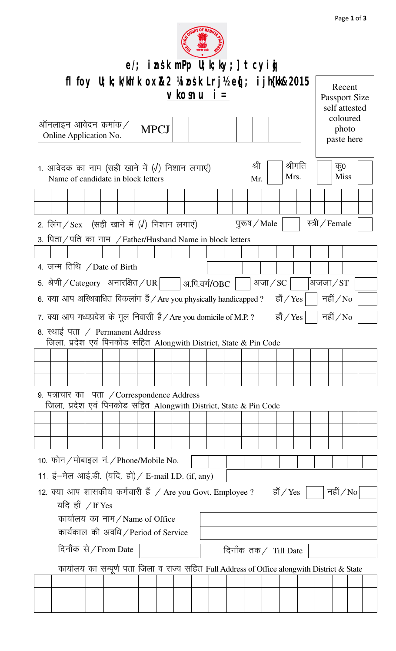

|                                                                                               |                                                                                                       |  |  |                                                                                      |  |  |  |  |                                                 |  | $e$ ; insk mPp U; k; ky; ] tcyig                                  |           |           |         |                 |                    |  |  |
|-----------------------------------------------------------------------------------------------|-------------------------------------------------------------------------------------------------------|--|--|--------------------------------------------------------------------------------------|--|--|--|--|-------------------------------------------------|--|-------------------------------------------------------------------|-----------|-----------|---------|-----------------|--------------------|--|--|
| fl foy $U$ ; k; k/kh'k ox $R$ 2 ¼ osk Lrj½ eq[; ijh{kk $R$ 2015<br>$v$ kosnu i $=$            |                                                                                                       |  |  |                                                                                      |  |  |  |  | Recent<br><b>Passport Size</b><br>self attested |  |                                                                   |           |           |         |                 |                    |  |  |
| ऑनलाइन आवेदन क्रमांक $\nearrow$<br><b>MPCJ</b><br>Online Application No.                      |                                                                                                       |  |  |                                                                                      |  |  |  |  | coloured<br>photo<br>paste here                 |  |                                                                   |           |           |         |                 |                    |  |  |
|                                                                                               |                                                                                                       |  |  | 1. आवेदक का नाम (सही खाने में (√) निशान लगाएं)<br>Name of candidate in block letters |  |  |  |  |                                                 |  | श्री<br>Mr.                                                       |           | Mrs.      | श्रीमति |                 | कू0<br><b>Miss</b> |  |  |
|                                                                                               |                                                                                                       |  |  |                                                                                      |  |  |  |  |                                                 |  |                                                                   |           |           |         |                 |                    |  |  |
|                                                                                               |                                                                                                       |  |  |                                                                                      |  |  |  |  |                                                 |  |                                                                   |           |           |         |                 |                    |  |  |
|                                                                                               |                                                                                                       |  |  | 2. लिंग / Sex (सही खाने में (√) निशान लगाएं)                                         |  |  |  |  |                                                 |  | पुरुष / Male                                                      |           |           |         | स्त्री / Female |                    |  |  |
|                                                                                               |                                                                                                       |  |  | 3. पिता / पति का नाम / Father/Husband Name in block letters                          |  |  |  |  |                                                 |  |                                                                   |           |           |         |                 |                    |  |  |
|                                                                                               |                                                                                                       |  |  |                                                                                      |  |  |  |  |                                                 |  |                                                                   |           |           |         |                 |                    |  |  |
|                                                                                               |                                                                                                       |  |  | 4. जन्म तिथि / Date of Birth                                                         |  |  |  |  |                                                 |  |                                                                   |           |           |         |                 |                    |  |  |
|                                                                                               |                                                                                                       |  |  | 5. श्रेणी <i>/</i> Category   अनारक्षित <i>/</i> UR                                  |  |  |  |  | अ.पि.वर्ग/OBC                                   |  |                                                                   | अजा $/SC$ |           |         | अजजा $/ST$      |                    |  |  |
|                                                                                               | 6. क्या आप अस्थिबाधित विकलांग हैं / Are you physically handicapped ?<br>नहीं $\sqrt{N_0}$<br>हॉ / Yes |  |  |                                                                                      |  |  |  |  |                                                 |  |                                                                   |           |           |         |                 |                    |  |  |
|                                                                                               |                                                                                                       |  |  | 7. क्या आप मध्यप्रदेश के मूल निवासी हैं / Are you domicile of M.P. ?                 |  |  |  |  |                                                 |  |                                                                   |           | हाँ / Yes |         |                 | नहीं $/N$ o        |  |  |
|                                                                                               |                                                                                                       |  |  | 8. स्थाई पता / Permanent Address                                                     |  |  |  |  |                                                 |  |                                                                   |           |           |         |                 |                    |  |  |
|                                                                                               |                                                                                                       |  |  |                                                                                      |  |  |  |  |                                                 |  | जिला, प्रदेश एवं पिनकोड सहित Alongwith District, State & Pin Code |           |           |         |                 |                    |  |  |
|                                                                                               |                                                                                                       |  |  |                                                                                      |  |  |  |  |                                                 |  |                                                                   |           |           |         |                 |                    |  |  |
|                                                                                               |                                                                                                       |  |  |                                                                                      |  |  |  |  |                                                 |  |                                                                   |           |           |         |                 |                    |  |  |
|                                                                                               |                                                                                                       |  |  | 9. पत्राचार का पता / Correspondence Address                                          |  |  |  |  |                                                 |  |                                                                   |           |           |         |                 |                    |  |  |
|                                                                                               |                                                                                                       |  |  |                                                                                      |  |  |  |  |                                                 |  | जिला, प्रदेश एवं पिनकोड सहित Alongwith District, State & Pin Code |           |           |         |                 |                    |  |  |
|                                                                                               |                                                                                                       |  |  |                                                                                      |  |  |  |  |                                                 |  |                                                                   |           |           |         |                 |                    |  |  |
|                                                                                               |                                                                                                       |  |  |                                                                                      |  |  |  |  |                                                 |  |                                                                   |           |           |         |                 |                    |  |  |
|                                                                                               |                                                                                                       |  |  |                                                                                      |  |  |  |  |                                                 |  |                                                                   |           |           |         |                 |                    |  |  |
|                                                                                               |                                                                                                       |  |  | 10. फोन / मोबाइल नं. / Phone/Mobile No.                                              |  |  |  |  |                                                 |  |                                                                   |           |           |         |                 |                    |  |  |
| 11 ई-मेल आई.डी. (यदि, हो) / E-mail I.D. (if, any)                                             |                                                                                                       |  |  |                                                                                      |  |  |  |  |                                                 |  |                                                                   |           |           |         |                 |                    |  |  |
| 12. क्या आप शासकीय कर्मचारी हैं / Are you Govt. Employee ?<br>हाँ $\gamma$ Yes<br>नहीं $/$ No |                                                                                                       |  |  |                                                                                      |  |  |  |  |                                                 |  |                                                                   |           |           |         |                 |                    |  |  |
| यदि हाँ / If Yes                                                                              |                                                                                                       |  |  |                                                                                      |  |  |  |  |                                                 |  |                                                                   |           |           |         |                 |                    |  |  |
| कार्यालय का नाम/Name of Office                                                                |                                                                                                       |  |  |                                                                                      |  |  |  |  |                                                 |  |                                                                   |           |           |         |                 |                    |  |  |
| कार्यकाल की अवधि / Period of Service                                                          |                                                                                                       |  |  |                                                                                      |  |  |  |  |                                                 |  |                                                                   |           |           |         |                 |                    |  |  |
| दिनाँक से / From Date<br>दिनाँक तक / Till Date                                                |                                                                                                       |  |  |                                                                                      |  |  |  |  |                                                 |  |                                                                   |           |           |         |                 |                    |  |  |
| कार्यालय का सम्पूर्ण पता जिला व राज्य सहित Full Address of Office alongwith District & State  |                                                                                                       |  |  |                                                                                      |  |  |  |  |                                                 |  |                                                                   |           |           |         |                 |                    |  |  |
|                                                                                               |                                                                                                       |  |  |                                                                                      |  |  |  |  |                                                 |  |                                                                   |           |           |         |                 |                    |  |  |
|                                                                                               |                                                                                                       |  |  |                                                                                      |  |  |  |  |                                                 |  |                                                                   |           |           |         |                 |                    |  |  |
|                                                                                               |                                                                                                       |  |  |                                                                                      |  |  |  |  |                                                 |  |                                                                   |           |           |         |                 |                    |  |  |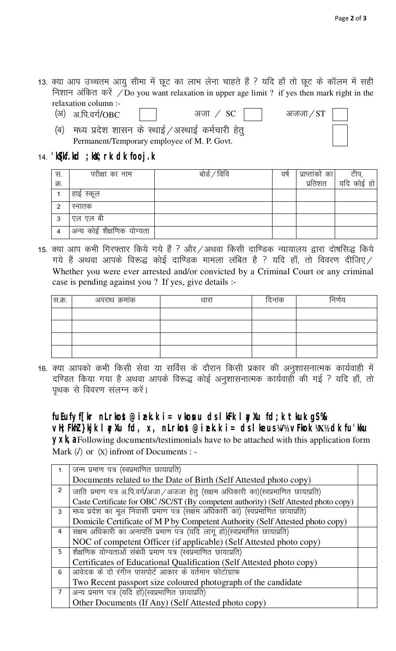- 13. क्या आप उच्चतम आयु सीमा में छूट का लाभ लेना चाहते हैं ? यदि हाँ तो छूट के कॉलम में सही निशान अंकित करें / Do you want relaxation in upper age limit ? if yes then mark right in the relaxation column :-
	- *(अ) अ.पि.वर्ग/OBC*  $\frac{1}{2}$  अजन $\frac{1}{2}$   $\frac{1}{2}$   $\frac{1}{2}$   $\frac{1}{2}$   $\frac{1}{2}$   $\frac{1}{2}$   $\frac{1}{2}$   $\frac{1}{2}$   $\frac{1}{2}$   $\frac{1}{2}$   $\frac{1}{2}$   $\frac{1}{2}$   $\frac{1}{2}$   $\frac{1}{2}$   $\frac{1}{2}$   $\frac{1}{2}$   $\frac{1}{2}$   $\frac{1}{2}$   $\frac{1}{2}$   $\frac{1}{2}$   $\frac{1}{2$
	- (ब) मध्य प्रदेश शासन के स्थाई / अस्थाई कर्मचारी हेतु Permanent/Temporary employee of M. P. Govt.
- 

*14-* **'kS{kf.kd ;ksX;rk dk fooj.k**

| स.   | परीक्षा का नाम            | बोर्ड / विवि | वर्ष | प्राप्तांकों का | टीप,       |
|------|---------------------------|--------------|------|-----------------|------------|
| क्र. |                           |              |      | प्रतिशत         | यदि कोई हो |
|      | हाई स्कूल                 |              |      |                 |            |
| ◠    | स्नातक                    |              |      |                 |            |
| 3    | एल एल बी                  |              |      |                 |            |
|      | अन्य कोई शैक्षणिक योग्यता |              |      |                 |            |

15. क्या आप कभी गिरफ्तार किये गये हैं ? और∕अथवा किसी दाण्डिक न्यायालय द्वारा दोषसिद्ध किये  $\pi$ ये हैं अथवा आपके विरूद्ध कोई दाण्डिक मामला लंबित है ? यदि हाँ, तो विवरण दीजिए / Whether you were ever arrested and/or convicted by a Criminal Court or any criminal case is pending against you ? If yes, give details :-

| स.क्र. | अपराध क्रमांक | धारा | दिनांक | ग्नणय |
|--------|---------------|------|--------|-------|
|        |               |      |        |       |
|        |               |      |        |       |
|        |               |      |        |       |
|        |               |      |        |       |

16. क्या आपको कभी किसी सेवा या सर्विस के दौरान किसी प्रकार की अनुशासनात्मक कार्यवाही में दण्डित किया गया है अथवा आपके विरूद्ध कोई अनुशासनात्मक कार्यवाही की गई ? यदि हाँ, तो *i`Fkd ls fooj.k layXu djsaA*

**fuEufyf[kr nLrkost@izek.k i= vkosnu ds lkFk layXu fd;k tkuk gS %& vH;FkhZ }kjk layXu fd, x, nLrkost@izek.k i= ds lkeus ¼√½ vFkok ¼X½ dk fu'kku yxk**, a Following documents/testimonials have to be attached with this application form Mark *¼*√*½* or *¼*X*½* infront of Documents : -

|                | जन्म प्रमाण पत्र (स्वप्रमाणित छायाप्रति)                                             |
|----------------|--------------------------------------------------------------------------------------|
|                | Documents related to the Date of Birth (Self Attested photo copy)                    |
| $\overline{2}$ | जाति प्रमाण पत्र अ.पि.वर्ग/अजा / अजजा हेतु (सक्षम अधिकारी का)(स्वप्रमाणित छायाप्रति) |
|                | Caste Certificate for OBC/SC/ST (By competent authority) (Self Attested photo copy)  |
| 3              | मध्य प्रदेश का मूल निवासी प्रमाण पत्र (सक्षम अधिकारी का) (स्वप्रमाणित छायाप्रति)     |
|                | Domicile Certificate of M P by Competent Authority (Self Attested photo copy)        |
| 4              | सक्षम अधिकारी का अनापत्ति प्रमाण पत्र (यदि लागू हो)(स्वप्रमाणित छायाप्रति)           |
|                | NOC of competent Officer (if applicable) (Self Attested photo copy)                  |
| 5              | शैक्षणिक योग्यताओं संबंधी प्रमाण पत्र (स्वप्रमाणित छायाप्रति)                        |
|                | Certificates of Educational Qualification (Self Attested photo copy)                 |
| 6              | आवेदक के दो रंगीन पासपोर्ट आकार के वर्तमान फोटोग्राफ                                 |
|                | Two Recent passport size coloured photograph of the candidate                        |
| $\overline{7}$ | अन्य प्रमाण पत्र (यदि हों)(स्वप्रमाणित छायाप्रति)                                    |
|                | Other Documents (If Any) (Self Attested photo copy)                                  |